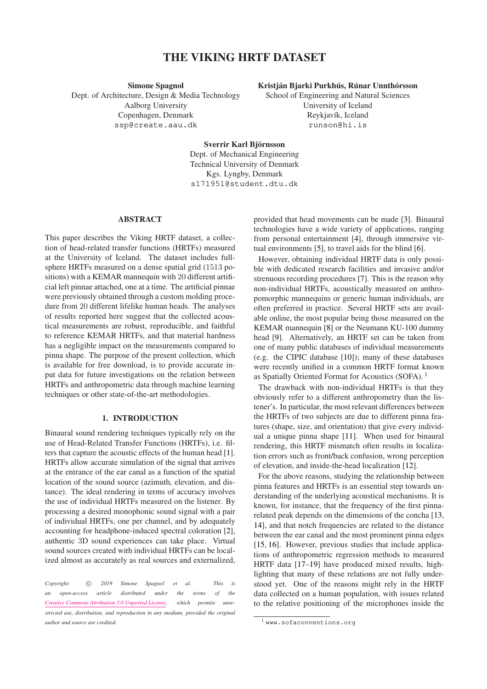# **THE VIKING HRTF DATASET**

**Simone Spagnol** Dept. of Architecture, Design & Media Technology Aalborg University Copenhagen, Denmark [ssp@create.aau.dk](mailto:ssp@create.aau.dk)

# **Kristján Bjarki Purkhús, Rúnar Unnthórsson**

School of Engineering and Natural Sciences University of Iceland Reykjavík, Iceland [runson@hi.is](mailto:runson@hi.is)

**Sverrir Karl Björnsson** Dept. of Mechanical Engineering Technical University of Denmark Kgs. Lyngby, Denmark [s171951@student.dtu.dk](mailto:s171951@student.dtu.dk)

## **ABSTRACT**

This paper describes the Viking HRTF dataset, a collection of head-related transfer functions (HRTFs) measured at the University of Iceland. The dataset includes fullsphere HRTFs measured on a dense spatial grid (1513 positions) with a KEMAR mannequin with 20 different artificial left pinnae attached, one at a time. The artificial pinnae were previously obtained through a custom molding procedure from 20 different lifelike human heads. The analyses of results reported here suggest that the collected acoustical measurements are robust, reproducible, and faithful to reference KEMAR HRTFs, and that material hardness has a negligible impact on the measurements compared to pinna shape. The purpose of the present collection, which is available for free download, is to provide accurate input data for future investigations on the relation between HRTFs and anthropometric data through machine learning techniques or other state-of-the-art methodologies.

## **1. INTRODUCTION**

Binaural sound rendering techniques typically rely on the use of Head-Related Transfer Functions (HRTFs), i.e. filters that capture the acoustic effects of the human head [\[1\]](#page-4-0). HRTFs allow accurate simulation of the signal that arrives at the entrance of the ear canal as a function of the spatial location of the sound source (azimuth, elevation, and distance). The ideal rendering in terms of accuracy involves the use of individual HRTFs measured on the listener. By processing a desired monophonic sound signal with a pair of individual HRTFs, one per channel, and by adequately accounting for headphone-induced spectral coloration [\[2\]](#page-4-1), authentic 3D sound experiences can take place. Virtual sound sources created with individual HRTFs can be localized almost as accurately as real sources and externalized,

*Copyright:*  $\odot$  2019 Simone Spagnol et al. This is *an open-access article distributed under the terms of the [Creative Commons Attribution 3.0 Unported License,](http://creativecommons.org/licenses/by/3.0/) which permits unrestricted use, distribution, and reproduction in any medium, provided the original author and source are credited.*

provided that head movements can be made [\[3\]](#page-4-2). Binaural technologies have a wide variety of applications, ranging from personal entertainment [\[4\]](#page-5-0), through immersive virtual environments [\[5\]](#page-5-1), to travel aids for the blind [\[6\]](#page-5-2).

However, obtaining individual HRTF data is only possible with dedicated research facilities and invasive and/or strenuous recording procedures [\[7\]](#page-5-3). This is the reason why non-individual HRTFs, acoustically measured on anthropomorphic mannequins or generic human individuals, are often preferred in practice. Several HRTF sets are available online, the most popular being those measured on the KEMAR mannequin [\[8\]](#page-5-4) or the Neumann KU-100 dummy head [\[9\]](#page-5-5). Alternatively, an HRTF set can be taken from one of many public databases of individual measurements (e.g. the CIPIC database [\[10\]](#page-5-6)); many of these databases were recently unified in a common HRTF format known as Spatially Oriented Format for Acoustics (SOFA). [1](#page-0-0)

The drawback with non-individual HRTFs is that they obviously refer to a different anthropometry than the listener's. In particular, the most relevant differences between the HRTFs of two subjects are due to different pinna features (shape, size, and orientation) that give every individual a unique pinna shape [\[11\]](#page-5-7). When used for binaural rendering, this HRTF mismatch often results in localization errors such as front/back confusion, wrong perception of elevation, and inside-the-head localization [\[12\]](#page-5-8).

For the above reasons, studying the relationship between pinna features and HRTFs is an essential step towards understanding of the underlying acoustical mechanisms. It is known, for instance, that the frequency of the first pinnarelated peak depends on the dimensions of the concha [\[13,](#page-5-9) [14\]](#page-5-10), and that notch frequencies are related to the distance between the ear canal and the most prominent pinna edges [\[15,](#page-5-11) [16\]](#page-5-12). However, previous studies that include applications of anthropometric regression methods to measured HRTF data [\[17](#page-5-13)[–19\]](#page-5-14) have produced mixed results, highlighting that many of these relations are not fully understood yet. One of the reasons might rely in the HRTF data collected on a human population, with issues related to the relative positioning of the microphones inside the

<span id="page-0-0"></span><sup>1</sup> <www.sofaconventions.org>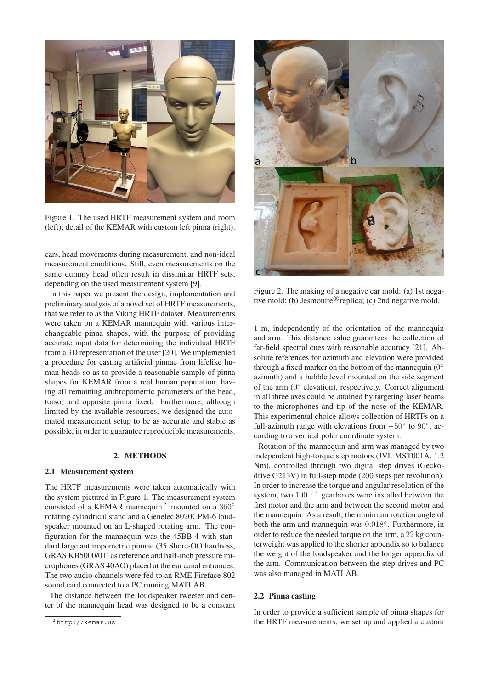<span id="page-1-0"></span>

Figure 1. The used HRTF measurement system and room (left); detail of the KEMAR with custom left pinna (right).

ears, head movements during measurement, and non-ideal measurement conditions. Still, even measurements on the same dummy head often result in dissimilar HRTF sets, depending on the used measurement system [\[9\]](#page-5-5).

In this paper we present the design, implementation and preliminary analysis of a novel set of HRTF measurements, that we refer to as the Viking HRTF dataset. Measurements were taken on a KEMAR mannequin with various interchangeable pinna shapes, with the purpose of providing accurate input data for determining the individual HRTF from a 3D representation of the user [\[20\]](#page-5-15). We implemented a procedure for casting artificial pinnae from lifelike human heads so as to provide a reasonable sample of pinna shapes for KEMAR from a real human population, having all remaining anthropometric parameters of the head, torso, and opposite pinna fixed. Furthermore, although limited by the available resources, we designed the automated measurement setup to be as accurate and stable as possible, in order to guarantee reproducible measurements.

## **2. METHODS**

#### **2.1 Measurement system**

The HRTF measurements were taken automatically with the system pictured in Figure [1.](#page-1-0) The measurement system consisted of a KEMAR mannequin<sup>[2](#page-1-1)</sup> mounted on a  $360^\circ$ rotating cylindrical stand and a Genelec 8020CPM-6 loudspeaker mounted on an L-shaped rotating arm. The configuration for the mannequin was the 45BB-4 with standard large anthropometric pinnae (35 Shore-OO hardness, GRAS KB5000/01) as reference and half-inch pressure microphones (GRAS 40AO) placed at the ear canal entrances. The two audio channels were fed to an RME Fireface 802 sound card connected to a PC running MATLAB.

The distance between the loudspeaker tweeter and center of the mannequin head was designed to be a constant

<span id="page-1-2"></span>

Figure 2. The making of a negative ear mold: (a) 1st negative mold; (b) Jesmonite<sup>®</sup> replica; (c) 2nd negative mold.

1 m, independently of the orientation of the mannequin and arm. This distance value guarantees the collection of far-field spectral cues with reasonable accuracy [\[21\]](#page-5-16). Absolute references for azimuth and elevation were provided through a fixed marker on the bottom of the mannequin  $(0^{\circ})$ azimuth) and a bubble level mounted on the side segment of the arm  $(0^{\circ}$  elevation), respectively. Correct alignment in all three axes could be attained by targeting laser beams to the microphones and tip of the nose of the KEMAR. This experimental choice allows collection of HRTFs on a full-azimuth range with elevations from  $-50^\circ$  to  $90^\circ$ , according to a vertical polar coordinate system.

Rotation of the mannequin and arm was managed by two independent high-torque step motors (JVL MST001A, 1.2 Nm), controlled through two digital step drives (Geckodrive G213V) in full-step mode (200 steps per revolution). In order to increase the torque and angular resolution of the system, two 100 : 1 gearboxes were installed between the first motor and the arm and between the second motor and the mannequin. As a result, the minimum rotation angle of both the arm and mannequin was  $0.018°$ . Furthermore, in order to reduce the needed torque on the arm, a 22 kg counterweight was applied to the shorter appendix so to balance the weight of the loudspeaker and the longer appendix of the arm. Communication between the step drives and PC was also managed in MATLAB.

#### **2.2 Pinna casting**

In order to provide a sufficient sample of pinna shapes for the HRTF measurements, we set up and applied a custom

<span id="page-1-1"></span><sup>2</sup> <http://kemar.us>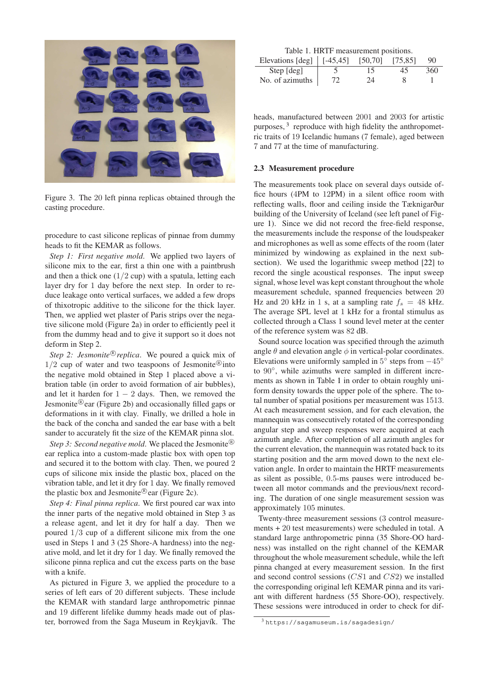<span id="page-2-0"></span>

Figure 3. The 20 left pinna replicas obtained through the casting procedure.

procedure to cast silicone replicas of pinnae from dummy heads to fit the KEMAR as follows.

*Step 1: First negative mold*. We applied two layers of silicone mix to the ear, first a thin one with a paintbrush and then a thick one  $(1/2$  cup) with a spatula, letting each layer dry for 1 day before the next step. In order to reduce leakage onto vertical surfaces, we added a few drops of thixotropic additive to the silicone for the thick layer. Then, we applied wet plaster of Paris strips over the negative silicone mold (Figure [2a](#page-1-2)) in order to efficiently peel it from the dummy head and to give it support so it does not deform in Step 2.

Step 2: Jesmonite<sup>®</sup> replica. We poured a quick mix of  $1/2$  cup of water and two teaspoons of Jesmonite®into the negative mold obtained in Step 1 placed above a vibration table (in order to avoid formation of air bubbles), and let it harden for  $1 - 2$  days. Then, we removed the Jesmonite®ear (Figure [2b](#page-1-2)) and occasionally filled gaps or deformations in it with clay. Finally, we drilled a hole in the back of the concha and sanded the ear base with a belt sander to accurately fit the size of the KEMAR pinna slot.

Step 3: Second negative mold. We placed the Jesmonite<sup>®</sup> ear replica into a custom-made plastic box with open top and secured it to the bottom with clay. Then, we poured 2 cups of silicone mix inside the plastic box, placed on the vibration table, and let it dry for 1 day. We finally removed the plastic box and Jesmonite®ear (Figure [2c](#page-1-2)).

*Step 4: Final pinna replica*. We first poured car wax into the inner parts of the negative mold obtained in Step 3 as a release agent, and let it dry for half a day. Then we poured 1/3 cup of a different silicone mix from the one used in Steps 1 and 3 (25 Shore-A hardness) into the negative mold, and let it dry for 1 day. We finally removed the silicone pinna replica and cut the excess parts on the base with a knife.

As pictured in Figure [3,](#page-2-0) we applied the procedure to a series of left ears of 20 different subjects. These include the KEMAR with standard large anthropometric pinnae and 19 different lifelike dummy heads made out of plaster, borrowed from the Saga Museum in Reykjavík. The

|  | Table 1. HRTF measurement positions. |  |
|--|--------------------------------------|--|
|  |                                      |  |

<span id="page-2-2"></span>

| Elevations $\lceil \deg \rceil \mid [-45, 45]$ |    | [50, 70] | [75.85] | 90  |
|------------------------------------------------|----|----------|---------|-----|
| Step [deg]                                     |    | ר ו      |         | 360 |
| No. of azimuths                                | 77 | 24       |         |     |

heads, manufactured between 2001 and 2003 for artistic purposes,<sup>[3](#page-2-1)</sup> reproduce with high fidelity the anthropometric traits of 19 Icelandic humans (7 female), aged between 7 and 77 at the time of manufacturing.

#### **2.3 Measurement procedure**

The measurements took place on several days outside office hours (4PM to 12PM) in a silent office room with reflecting walls, floor and ceiling inside the Tæknigarður building of the University of Iceland (see left panel of Figure [1\)](#page-1-0). Since we did not record the free-field response, the measurements include the response of the loudspeaker and microphones as well as some effects of the room (later minimized by windowing as explained in the next subsection). We used the logarithmic sweep method [\[22\]](#page-5-17) to record the single acoustical responses. The input sweep signal, whose level was kept constant throughout the whole measurement schedule, spanned frequencies between 20 Hz and 20 kHz in 1 s, at a sampling rate  $f_s = 48$  kHz. The average SPL level at 1 kHz for a frontal stimulus as collected through a Class 1 sound level meter at the center of the reference system was 82 dB.

Sound source location was specified through the azimuth angle  $\theta$  and elevation angle  $\phi$  in vertical-polar coordinates. Elevations were uniformly sampled in  $5^{\circ}$  steps from  $-45^{\circ}$ to 90°, while azimuths were sampled in different increments as shown in Table [1](#page-2-2) in order to obtain roughly uniform density towards the upper pole of the sphere. The total number of spatial positions per measurement was 1513. At each measurement session, and for each elevation, the mannequin was consecutively rotated of the corresponding angular step and sweep responses were acquired at each azimuth angle. After completion of all azimuth angles for the current elevation, the mannequin was rotated back to its starting position and the arm moved down to the next elevation angle. In order to maintain the HRTF measurements as silent as possible, 0.5-ms pauses were introduced between all motor commands and the previous/next recording. The duration of one single measurement session was approximately 105 minutes.

Twenty-three measurement sessions (3 control measurements + 20 test measurements) were scheduled in total. A standard large anthropometric pinna (35 Shore-OO hardness) was installed on the right channel of the KEMAR throughout the whole measurement schedule, while the left pinna changed at every measurement session. In the first and second control sessions (CS1 and CS2) we installed the corresponding original left KEMAR pinna and its variant with different hardness (55 Shore-OO), respectively. These sessions were introduced in order to check for dif-

<span id="page-2-1"></span><sup>3</sup> <https://sagamuseum.is/sagadesign/>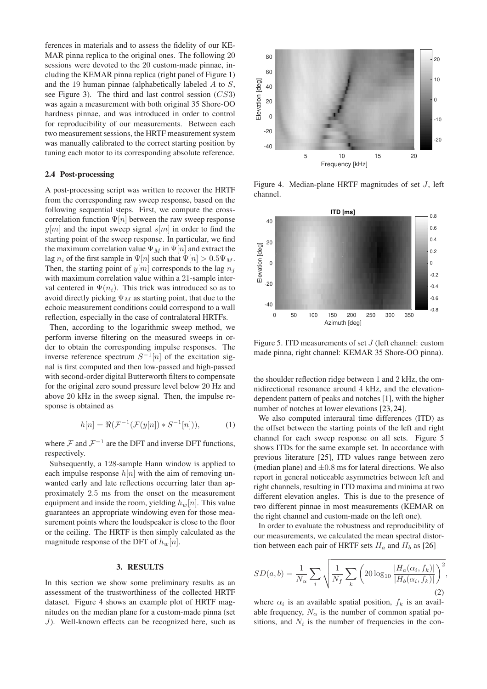ferences in materials and to assess the fidelity of our KE-MAR pinna replica to the original ones. The following 20 sessions were devoted to the 20 custom-made pinnae, including the KEMAR pinna replica (right panel of Figure [1\)](#page-1-0) and the 19 human pinnae (alphabetically labeled  $A$  to  $S$ , see Figure [3\)](#page-2-0). The third and last control session (CS3) was again a measurement with both original 35 Shore-OO hardness pinnae, and was introduced in order to control for reproducibility of our measurements. Between each two measurement sessions, the HRTF measurement system was manually calibrated to the correct starting position by tuning each motor to its corresponding absolute reference.

# **2.4 Post-processing**

A post-processing script was written to recover the HRTF from the corresponding raw sweep response, based on the following sequential steps. First, we compute the crosscorrelation function  $\Psi[n]$  between the raw sweep response  $y[m]$  and the input sweep signal  $s[m]$  in order to find the starting point of the sweep response. In particular, we find the maximum correlation value  $\Psi_M$  in  $\Psi[n]$  and extract the lag  $n_i$  of the first sample in  $\Psi[n]$  such that  $\Psi[n] > 0.5\Psi_M$ . Then, the starting point of  $y[m]$  corresponds to the lag  $n_j$ with maximum correlation value within a 21-sample interval centered in  $\Psi(n_i)$ . This trick was introduced so as to avoid directly picking  $\Psi_M$  as starting point, that due to the echoic measurement conditions could correspond to a wall reflection, especially in the case of contralateral HRTFs.

Then, according to the logarithmic sweep method, we perform inverse filtering on the measured sweeps in order to obtain the corresponding impulse responses. The inverse reference spectrum  $S^{-1}[n]$  of the excitation signal is first computed and then low-passed and high-passed with second-order digital Butterworth filters to compensate for the original zero sound pressure level below 20 Hz and above 20 kHz in the sweep signal. Then, the impulse response is obtained as

$$
h[n] = \Re(\mathcal{F}^{-1}(\mathcal{F}(y[n]) * S^{-1}[n])),\tag{1}
$$

where  $\mathcal F$  and  $\mathcal F^{-1}$  are the DFT and inverse DFT functions, respectively.

Subsequently, a 128-sample Hann window is applied to each impulse response  $h[n]$  with the aim of removing unwanted early and late reflections occurring later than approximately 2.5 ms from the onset on the measurement equipment and inside the room, yielding  $h_w[n]$ . This value guarantees an appropriate windowing even for those measurement points where the loudspeaker is close to the floor or the ceiling. The HRTF is then simply calculated as the magnitude response of the DFT of  $h_w[n]$ .

#### **3. RESULTS**

In this section we show some preliminary results as an assessment of the trustworthiness of the collected HRTF dataset. Figure [4](#page-3-0) shows an example plot of HRTF magnitudes on the median plane for a custom-made pinna (set J). Well-known effects can be recognized here, such as

<span id="page-3-0"></span>

Figure 4. Median-plane HRTF magnitudes of set J, left channel.



Figure 5. ITD measurements of set J (left channel: custom made pinna, right channel: KEMAR 35 Shore-OO pinna).

the shoulder reflection ridge between 1 and 2 kHz, the omnidirectional resonance around 4 kHz, and the elevationdependent pattern of peaks and notches [\[1\]](#page-4-0), with the higher number of notches at lower elevations [\[23,](#page-5-18) [24\]](#page-5-19).

We also computed interaural time differences (ITD) as the offset between the starting points of the left and right channel for each sweep response on all sets. Figure 5 shows ITDs for the same example set. In accordance with previous literature [\[25\]](#page-5-20), ITD values range between zero (median plane) and  $\pm 0.8$  ms for lateral directions. We also report in general noticeable asymmetries between left and right channels, resulting in ITD maxima and minima at two different elevation angles. This is due to the presence of two different pinnae in most measurements (KEMAR on the right channel and custom-made on the left one).

In order to evaluate the robustness and reproducibility of our measurements, we calculated the mean spectral distortion between each pair of HRTF sets  $H_a$  and  $H_b$  as [\[26\]](#page-5-21)

$$
SD(a,b) = \frac{1}{N_{\alpha}} \sum_{i} \sqrt{\frac{1}{N_f} \sum_{k} \left(20 \log_{10} \frac{|H_a(\alpha_i, f_k)|}{|H_b(\alpha_i, f_k)|}\right)^2},\tag{2}
$$

where  $\alpha_i$  is an available spatial position,  $f_k$  is an available frequency,  $N_{\alpha}$  is the number of common spatial positions, and  $N_i$  is the number of frequencies in the con-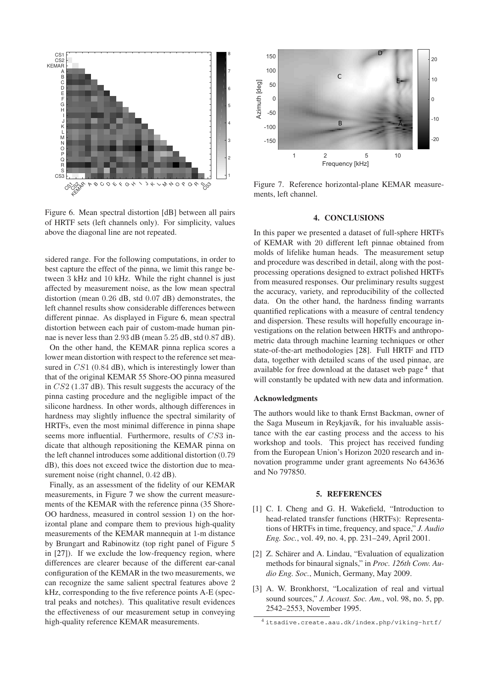<span id="page-4-3"></span>

Figure 6. Mean spectral distortion [dB] between all pairs of HRTF sets (left channels only). For simplicity, values above the diagonal line are not repeated.

sidered range. For the following computations, in order to best capture the effect of the pinna, we limit this range between 3 kHz and 10 kHz. While the right channel is just affected by measurement noise, as the low mean spectral distortion (mean 0.26 dB, std 0.07 dB) demonstrates, the left channel results show considerable differences between different pinnae. As displayed in Figure [6,](#page-4-3) mean spectral distortion between each pair of custom-made human pinnae is never less than 2.93 dB (mean 5.25 dB, std 0.87 dB).

On the other hand, the KEMAR pinna replica scores a lower mean distortion with respect to the reference set measured in CS1 (0.84 dB), which is interestingly lower than that of the original KEMAR 55 Shore-OO pinna measured in CS2 (1.37 dB). This result suggests the accuracy of the pinna casting procedure and the negligible impact of the silicone hardness. In other words, although differences in hardness may slightly influence the spectral similarity of HRTFs, even the most minimal difference in pinna shape seems more influential. Furthermore, results of CS3 indicate that although repositioning the KEMAR pinna on the left channel introduces some additional distortion (0.79 dB), this does not exceed twice the distortion due to measurement noise (right channel,  $0.42$  dB).

Finally, as an assessment of the fidelity of our KEMAR measurements, in Figure [7](#page-4-4) we show the current measurements of the KEMAR with the reference pinna (35 Shore-OO hardness, measured in control session 1) on the horizontal plane and compare them to previous high-quality measurements of the KEMAR mannequin at 1-m distance by Brungart and Rabinowitz (top right panel of Figure 5 in [\[27\]](#page-5-22)). If we exclude the low-frequency region, where differences are clearer because of the different ear-canal configuration of the KEMAR in the two measurements, we can recognize the same salient spectral features above 2 kHz, corresponding to the five reference points A-E (spectral peaks and notches). This qualitative result evidences the effectiveness of our measurement setup in conveying high-quality reference KEMAR measurements.

<span id="page-4-4"></span>

Figure 7. Reference horizontal-plane KEMAR measurements, left channel.

#### **4. CONCLUSIONS**

In this paper we presented a dataset of full-sphere HRTFs of KEMAR with 20 different left pinnae obtained from molds of lifelike human heads. The measurement setup and procedure was described in detail, along with the postprocessing operations designed to extract polished HRTFs from measured responses. Our preliminary results suggest the accuracy, variety, and reproducibility of the collected data. On the other hand, the hardness finding warrants quantified replications with a measure of central tendency and dispersion. These results will hopefully encourage investigations on the relation between HRTFs and anthropometric data through machine learning techniques or other state-of-the-art methodologies [\[28\]](#page-5-23). Full HRTF and ITD data, together with detailed scans of the used pinnae, are available for free download at the dataset web page<sup>[4](#page-4-5)</sup> that will constantly be updated with new data and information.

#### **Acknowledgments**

The authors would like to thank Ernst Backman, owner of the Saga Museum in Reykjavík, for his invaluable assistance with the ear casting process and the access to his workshop and tools. This project has received funding from the European Union's Horizon 2020 research and innovation programme under grant agreements No 643636 and No 797850.

#### **5. REFERENCES**

- <span id="page-4-0"></span>[1] C. I. Cheng and G. H. Wakefield, "Introduction to head-related transfer functions (HRTFs): Representations of HRTFs in time, frequency, and space," *J. Audio Eng. Soc.*, vol. 49, no. 4, pp. 231–249, April 2001.
- <span id="page-4-1"></span>[2] Z. Schärer and A. Lindau, "Evaluation of equalization methods for binaural signals," in *Proc. 126th Conv. Audio Eng. Soc.*, Munich, Germany, May 2009.
- <span id="page-4-2"></span>[3] A. W. Bronkhorst, "Localization of real and virtual sound sources," *J. Acoust. Soc. Am.*, vol. 98, no. 5, pp. 2542–2553, November 1995.

<span id="page-4-5"></span><sup>4</sup> <itsadive.create.aau.dk/index.php/viking-hrtf/>